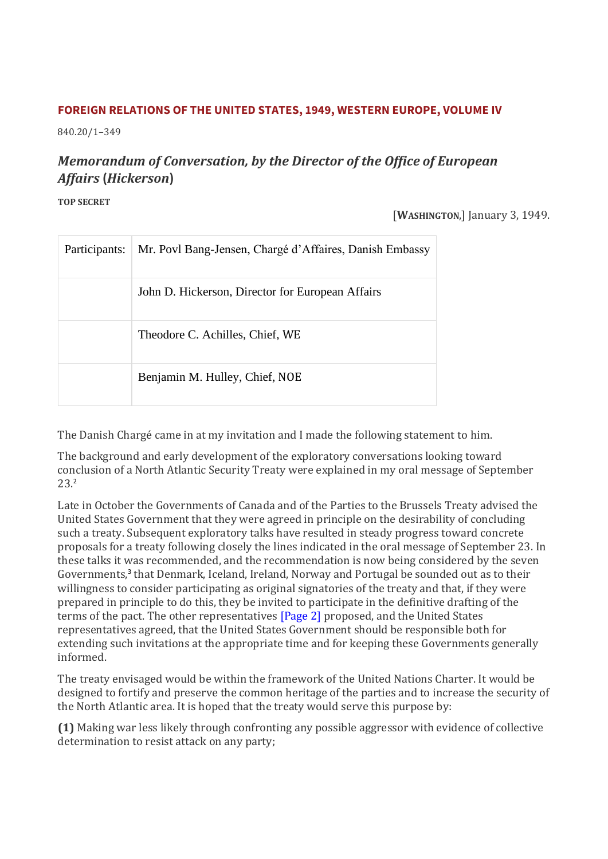### **FOREIGN RELATIONS OF THE UNITED STATES, 1949, WESTERN EUROPE, VOLUME IV**

840.20/1–349

# *Memorandum of Conversation, by the Director of the Office of European Affairs* **(***Hickerson***)**

**TOP SECRET**

#### [**WASHINGTON**,] January 3, 1949.

| Participants: | Mr. Povl Bang-Jensen, Chargé d'Affaires, Danish Embassy |
|---------------|---------------------------------------------------------|
|               | John D. Hickerson, Director for European Affairs        |
|               | Theodore C. Achilles, Chief, WE                         |
|               | Benjamin M. Hulley, Chief, NOE                          |

The Danish Chargé came in at my invitation and I made the following statement to him.

The background and early development of the exploratory conversations looking toward conclusion of a North Atlantic Security Treaty were explained in my oral message of September 23.<sup>2</sup>

Late in October the Governments of Canada and of the Parties to the Brussels Treaty advised the United States Government that they were agreed in principle on the desirability of concluding such a treaty. Subsequent exploratory talks have resulted in steady progress toward concrete proposals for a treaty following closely the lines indicated in the oral message of September 23. In these talks it was recommended, and the recommendation is now being considered by the seven Governments,<sup>3</sup> that Denmark, Iceland, Ireland, Norway and Portugal be sounded out as to their willingness to consider participating as original signatories of the treaty and that, if they were prepared in principle to do this, they be invited to participate in the definitive drafting of the terms of the pact. The other representatives [\[Page 2\]](https://history.state.gov/historicaldocuments/frus1949v04/pg_2) proposed, and the United States representatives agreed, that the United States Government should be responsible both for extending such invitations at the appropriate time and for keeping these Governments generally informed.

The treaty envisaged would be within the framework of the United Nations Charter. It would be designed to fortify and preserve the common heritage of the parties and to increase the security of the North Atlantic area. It is hoped that the treaty would serve this purpose by:

**(1)** Making war less likely through confronting any possible aggressor with evidence of collective determination to resist attack on any party;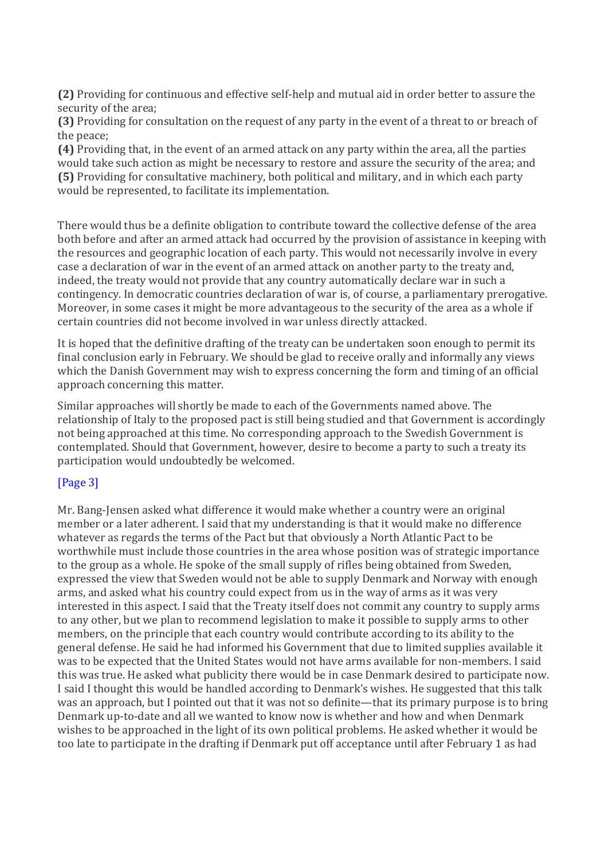**(2)** Providing for continuous and effective self-help and mutual aid in order better to assure the security of the area;

**(3)** Providing for consultation on the request of any party in the event of a threat to or breach of the peace;

**(4)** Providing that, in the event of an armed attack on any party within the area, all the parties would take such action as might be necessary to restore and assure the security of the area; and **(5)** Providing for consultative machinery, both political and military, and in which each party would be represented, to facilitate its implementation.

There would thus be a definite obligation to contribute toward the collective defense of the area both before and after an armed attack had occurred by the provision of assistance in keeping with the resources and geographic location of each party. This would not necessarily involve in every case a declaration of war in the event of an armed attack on another party to the treaty and, indeed, the treaty would not provide that any country automatically declare war in such a contingency. In democratic countries declaration of war is, of course, a parliamentary prerogative. Moreover, in some cases it might be more advantageous to the security of the area as a whole if certain countries did not become involved in war unless directly attacked.

It is hoped that the definitive drafting of the treaty can be undertaken soon enough to permit its final conclusion early in February. We should be glad to receive orally and informally any views which the Danish Government may wish to express concerning the form and timing of an official approach concerning this matter.

Similar approaches will shortly be made to each of the Governments named above. The relationship of Italy to the proposed pact is still being studied and that Government is accordingly not being approached at this time. No corresponding approach to the Swedish Government is contemplated. Should that Government, however, desire to become a party to such a treaty its participation would undoubtedly be welcomed.

## [\[Page 3\]](https://history.state.gov/historicaldocuments/frus1949v04/pg_3)

Mr. Bang-Jensen asked what difference it would make whether a country were an original member or a later adherent. I said that my understanding is that it would make no difference whatever as regards the terms of the Pact but that obviously a North Atlantic Pact to be worthwhile must include those countries in the area whose position was of strategic importance to the group as a whole. He spoke of the small supply of rifles being obtained from Sweden, expressed the view that Sweden would not be able to supply Denmark and Norway with enough arms, and asked what his country could expect from us in the way of arms as it was very interested in this aspect. I said that the Treaty itself does not commit any country to supply arms to any other, but we plan to recommend legislation to make it possible to supply arms to other members, on the principle that each country would contribute according to its ability to the general defense. He said he had informed his Government that due to limited supplies available it was to be expected that the United States would not have arms available for non-members. I said this was true. He asked what publicity there would be in case Denmark desired to participate now. I said I thought this would be handled according to Denmark's wishes. He suggested that this talk was an approach, but I pointed out that it was not so definite—that its primary purpose is to bring Denmark up-to-date and all we wanted to know now is whether and how and when Denmark wishes to be approached in the light of its own political problems. He asked whether it would be too late to participate in the drafting if Denmark put off acceptance until after February 1 as had